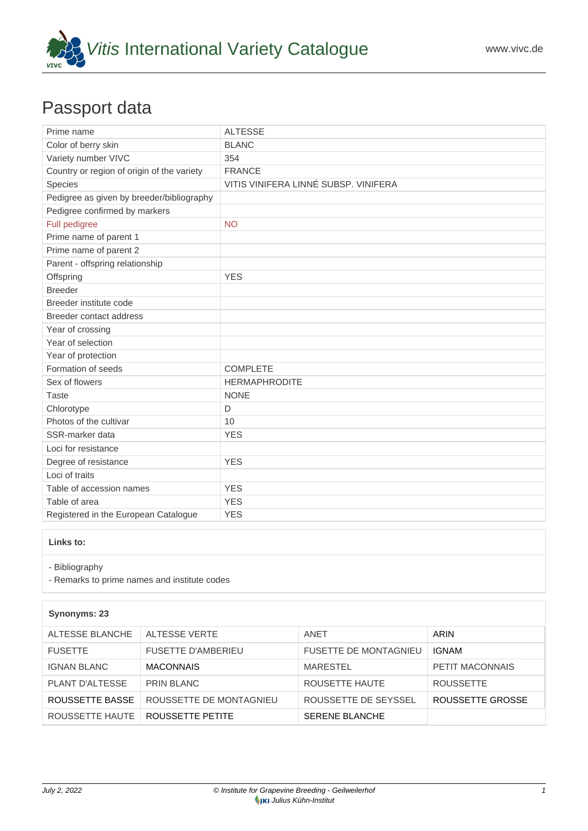

## Passport data

| Prime name                                 | <b>ALTESSE</b>                       |
|--------------------------------------------|--------------------------------------|
| Color of berry skin                        | <b>BLANC</b>                         |
| Variety number VIVC                        | 354                                  |
| Country or region of origin of the variety | <b>FRANCE</b>                        |
| Species                                    | VITIS VINIFERA LINNÉ SUBSP. VINIFERA |
| Pedigree as given by breeder/bibliography  |                                      |
| Pedigree confirmed by markers              |                                      |
| Full pedigree                              | <b>NO</b>                            |
| Prime name of parent 1                     |                                      |
| Prime name of parent 2                     |                                      |
| Parent - offspring relationship            |                                      |
| Offspring                                  | <b>YES</b>                           |
| <b>Breeder</b>                             |                                      |
| Breeder institute code                     |                                      |
| Breeder contact address                    |                                      |
| Year of crossing                           |                                      |
| Year of selection                          |                                      |
| Year of protection                         |                                      |
| Formation of seeds                         | <b>COMPLETE</b>                      |
| Sex of flowers                             | <b>HERMAPHRODITE</b>                 |
| <b>Taste</b>                               | <b>NONE</b>                          |
| Chlorotype                                 | D                                    |
| Photos of the cultivar                     | 10                                   |
| SSR-marker data                            | <b>YES</b>                           |
| Loci for resistance                        |                                      |
| Degree of resistance                       | <b>YES</b>                           |
| Loci of traits                             |                                      |
| Table of accession names                   | <b>YES</b>                           |
| Table of area                              | <b>YES</b>                           |
| Registered in the European Catalogue       | <b>YES</b>                           |

## **Links to:**

- [Bibliography](https://www.vivc.de/index.php?r=literaturverweise%2Fbibliography&LiteraturverweiseSearch[kenn_nr2]=354&LiteraturverweiseSearch[leitname2]=ALTESSE)

- [Remarks to prime names and institute codes](#page--1-0)

## **Synonyms: 23**

| ALTESSE BLANCHE    | ALTESSE VERTE             | ANET                         | ARIN             |
|--------------------|---------------------------|------------------------------|------------------|
| <b>FUSETTE</b>     | <b>FUSETTE D'AMBERIEU</b> | <b>FUSETTE DE MONTAGNIEU</b> | <b>IGNAM</b>     |
| <b>IGNAN BLANC</b> | <b>MACONNAIS</b>          | <b>MARESTEL</b>              | PETIT MACONNAIS  |
| PLANT D'ALTESSE    | PRIN BLANC                | ROUSETTE HAUTE               | <b>ROUSSETTE</b> |
| ROUSSETTE BASSE    | ROUSSETTE DE MONTAGNIEU   | ROUSSETTE DE SEYSSEL         | ROUSSETTE GROSSE |
| ROUSSETTE HAUTE    | ROUSSETTE PETITE          | <b>SERENE BLANCHE</b>        |                  |